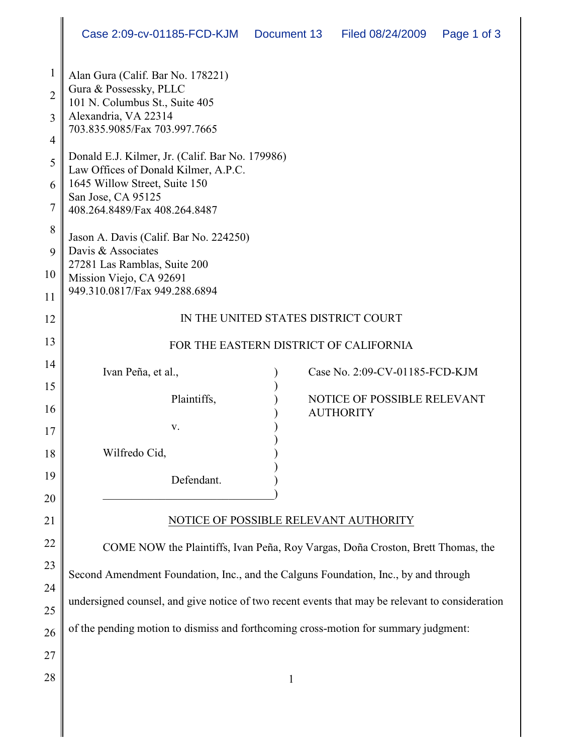| $\mathbf{1}$   | Alan Gura (Calif. Bar No. 178221)                                                               |                                |  |
|----------------|-------------------------------------------------------------------------------------------------|--------------------------------|--|
| $\overline{2}$ | Gura & Possessky, PLLC<br>101 N. Columbus St., Suite 405                                        |                                |  |
| 3              | Alexandria, VA 22314<br>703.835.9085/Fax 703.997.7665                                           |                                |  |
| 4              |                                                                                                 |                                |  |
| 5              | Donald E.J. Kilmer, Jr. (Calif. Bar No. 179986)<br>Law Offices of Donald Kilmer, A.P.C.         |                                |  |
| 6              | 1645 Willow Street, Suite 150<br>San Jose, CA 95125                                             |                                |  |
| 7              | 408.264.8489/Fax 408.264.8487                                                                   |                                |  |
| 8              | Jason A. Davis (Calif. Bar No. 224250)                                                          |                                |  |
| 9              | Davis & Associates<br>27281 Las Ramblas, Suite 200                                              |                                |  |
| 10             | Mission Viejo, CA 92691                                                                         |                                |  |
| 11             | 949.310.0817/Fax 949.288.6894                                                                   |                                |  |
| 12             | IN THE UNITED STATES DISTRICT COURT                                                             |                                |  |
| 13             | FOR THE EASTERN DISTRICT OF CALIFORNIA                                                          |                                |  |
| 14             | Ivan Peña, et al.,                                                                              | Case No. 2:09-CV-01185-FCD-KJM |  |
| 15             | Plaintiffs,                                                                                     | NOTICE OF POSSIBLE RELEVANT    |  |
| 16             |                                                                                                 | <b>AUTHORITY</b>               |  |
| 17             | V.                                                                                              |                                |  |
| 18             | Wilfredo Cid,                                                                                   |                                |  |
| 19             | Defendant.                                                                                      |                                |  |
| 20             |                                                                                                 |                                |  |
| 21             | NOTICE OF POSSIBLE RELEVANT AUTHORITY                                                           |                                |  |
| 22             | COME NOW the Plaintiffs, Ivan Peña, Roy Vargas, Doña Croston, Brett Thomas, the                 |                                |  |
| 23             | Second Amendment Foundation, Inc., and the Calguns Foundation, Inc., by and through             |                                |  |
| 24             |                                                                                                 |                                |  |
| 25             | undersigned counsel, and give notice of two recent events that may be relevant to consideration |                                |  |
| 26             | of the pending motion to dismiss and forthcoming cross-motion for summary judgment:             |                                |  |
| 27             |                                                                                                 |                                |  |
| 28             |                                                                                                 | $\mathbf{1}$                   |  |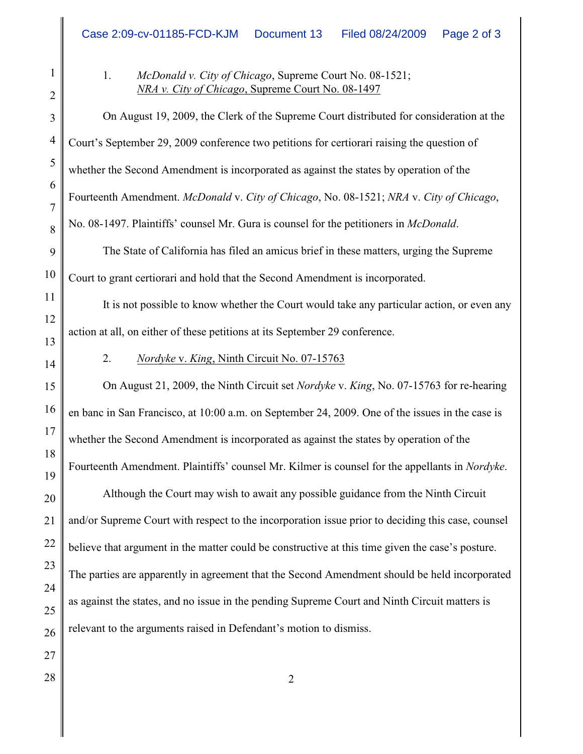2

1

1. *McDonald v. City of Chicago*, Supreme Court No. 08-1521; *NRA v. City of Chicago*, Supreme Court No. 08-1497

3 4 5 6 7 8 9 10 11 12 13 14 15 16 17 18 19 20 21 22 23 24 25 26 On August 19, 2009, the Clerk of the Supreme Court distributed for consideration at the Court's September 29, 2009 conference two petitions for certiorari raising the question of whether the Second Amendment is incorporated as against the states by operation of the Fourteenth Amendment. *McDonald* v. *City of Chicago*, No. 08-1521; *NRA* v. *City of Chicago*, No. 08-1497. Plaintiffs' counsel Mr. Gura is counsel for the petitioners in *McDonald*. The State of California has filed an amicus brief in these matters, urging the Supreme Court to grant certiorari and hold that the Second Amendment is incorporated. It is not possible to know whether the Court would take any particular action, or even any action at all, on either of these petitions at its September 29 conference. 2. *Nordyke* v. *King*, Ninth Circuit No. 07-15763 On August 21, 2009, the Ninth Circuit set *Nordyke* v. *King*, No. 07-15763 for re-hearing en banc in San Francisco, at 10:00 a.m. on September 24, 2009. One of the issues in the case is whether the Second Amendment is incorporated as against the states by operation of the Fourteenth Amendment. Plaintiffs' counsel Mr. Kilmer is counsel for the appellants in *Nordyke*. Although the Court may wish to await any possible guidance from the Ninth Circuit and/or Supreme Court with respect to the incorporation issue prior to deciding this case, counsel believe that argument in the matter could be constructive at this time given the case's posture. The parties are apparently in agreement that the Second Amendment should be held incorporated as against the states, and no issue in the pending Supreme Court and Ninth Circuit matters is relevant to the arguments raised in Defendant's motion to dismiss.

27  $28 \parallel$  2